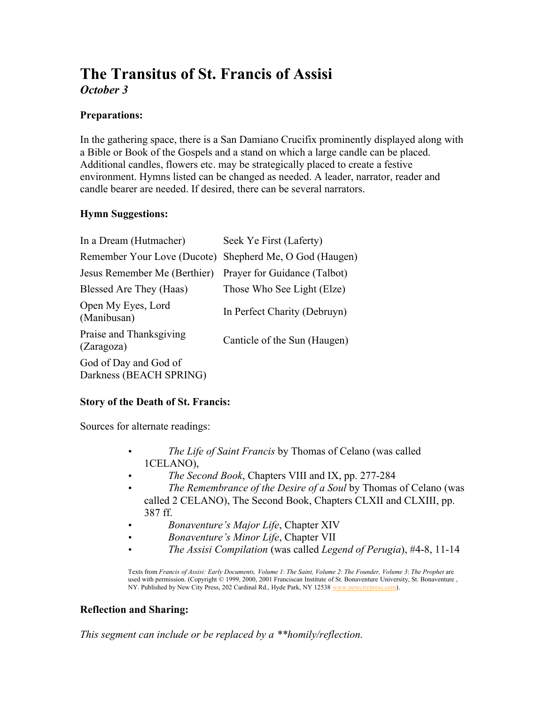# The Transitus of St. Francis of Assisi *October 3*

# Preparations:

In the gathering space, there is a San Damiano Crucifix prominently displayed along with a Bible or Book of the Gospels and a stand on which a large candle can be placed. Additional candles, flowers etc. may be strategically placed to create a festive environment. Hymns listed can be changed as needed. A leader, narrator, reader and candle bearer are needed. If desired, there can be several narrators.

# Hymn Suggestions:

| In a Dream (Hutmacher)                           | Seek Ye First (Laferty)      |
|--------------------------------------------------|------------------------------|
| Remember Your Love (Ducote)                      | Shepherd Me, O God (Haugen)  |
| Jesus Remember Me (Berthier)                     | Prayer for Guidance (Talbot) |
| Blessed Are They (Haas)                          | Those Who See Light (Elze)   |
| Open My Eyes, Lord<br>(Manibusan)                | In Perfect Charity (Debruyn) |
| Praise and Thanksgiving<br>(Zaragoza)            | Canticle of the Sun (Haugen) |
| God of Day and God of<br>Darkness (BEACH SPRING) |                              |

# Story of the Death of St. Francis:

Sources for alternate readings:

- *The Life of Saint Francis* by Thomas of Celano (was called 1CELANO),
- *The Second Book*, Chapters VIII and IX, pp. 277-284
- *The Remembrance of the Desire of a Soul* by Thomas of Celano (was called 2 CELANO), The Second Book, Chapters CLXII and CLXIII, pp. 387 ff.
- *Bonaventure's Major Life*, Chapter XIV
- *Bonaventure's Minor Life*, Chapter VII
- *The Assisi Compilation* (was called *Legend of Perugia*), #4-8, 11-14

Texts from *Francis of Assisi: Early Documents, Volume 1*: *The Saint, Volume 2*: *The Founder, Volume 3*: *The Prophet* are used with permission. (Copyright © 1999, 2000, 2001 Franciscan Institute of St. Bonaventure University, St. Bonaventure , NY. Published by New City Press, 202 Cardinal Rd., Hyde Park, NY 12538 www.newcitypress.com).

# Reflection and Sharing:

*This segment can include or be replaced by a \*\*homily/reflection.*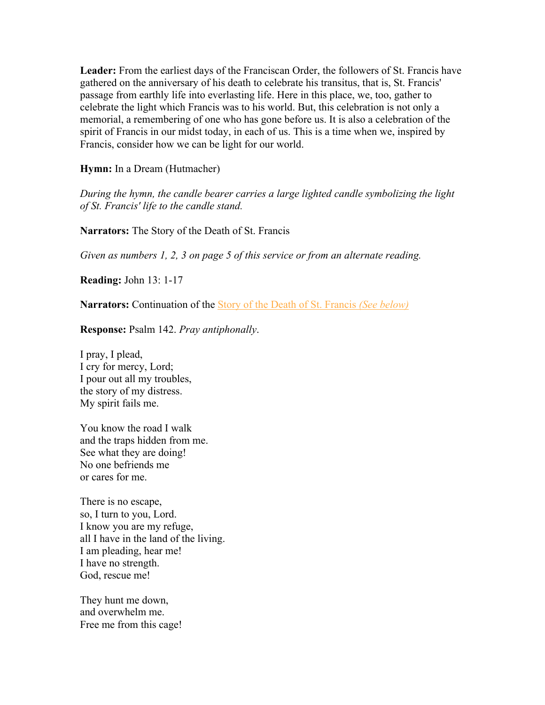Leader: From the earliest days of the Franciscan Order, the followers of St. Francis have gathered on the anniversary of his death to celebrate his transitus, that is, St. Francis' passage from earthly life into everlasting life. Here in this place, we, too, gather to celebrate the light which Francis was to his world. But, this celebration is not only a memorial, a remembering of one who has gone before us. It is also a celebration of the spirit of Francis in our midst today, in each of us. This is a time when we, inspired by Francis, consider how we can be light for our world.

Hymn: In a Dream (Hutmacher)

*During the hymn, the candle bearer carries a large lighted candle symbolizing the light of St. Francis' life to the candle stand.*

Narrators: The Story of the Death of St. Francis

*Given as numbers 1, 2, 3 on page 5 of this service or from an alternate reading.*

Reading: John 13: 1-17

Narrators: Continuation of the Story of the Death of St. Francis *(See below)*

Response: Psalm 142. *Pray antiphonally*.

I pray, I plead, I cry for mercy, Lord; I pour out all my troubles, the story of my distress. My spirit fails me.

You know the road I walk and the traps hidden from me. See what they are doing! No one befriends me or cares for me.

There is no escape, so, I turn to you, Lord. I know you are my refuge, all I have in the land of the living. I am pleading, hear me! I have no strength. God, rescue me!

They hunt me down, and overwhelm me. Free me from this cage!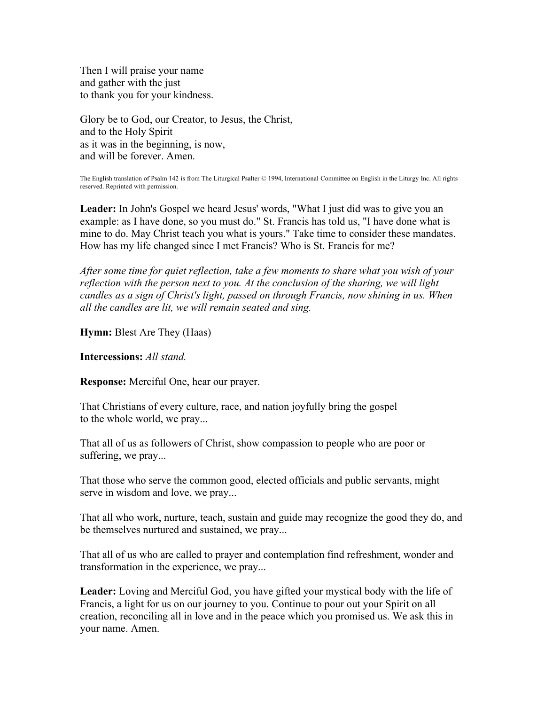Then I will praise your name and gather with the just to thank you for your kindness.

Glory be to God, our Creator, to Jesus, the Christ, and to the Holy Spirit as it was in the beginning, is now, and will be forever. Amen.

The English translation of Psalm 142 is from The Liturgical Psalter © 1994, International Committee on English in the Liturgy Inc. All rights reserved. Reprinted with permission.

Leader: In John's Gospel we heard Jesus' words, "What I just did was to give you an example: as I have done, so you must do." St. Francis has told us, "I have done what is mine to do. May Christ teach you what is yours." Take time to consider these mandates. How has my life changed since I met Francis? Who is St. Francis for me?

*After some time for quiet reflection, take a few moments to share what you wish of your reflection with the person next to you. At the conclusion of the sharing, we will light candles as a sign of Christ's light, passed on through Francis, now shining in us. When all the candles are lit, we will remain seated and sing.*

Hymn: Blest Are They (Haas)

Intercessions: *All stand.*

Response: Merciful One, hear our prayer.

That Christians of every culture, race, and nation joyfully bring the gospel to the whole world, we pray...

That all of us as followers of Christ, show compassion to people who are poor or suffering, we pray...

That those who serve the common good, elected officials and public servants, might serve in wisdom and love, we pray...

That all who work, nurture, teach, sustain and guide may recognize the good they do, and be themselves nurtured and sustained, we pray...

That all of us who are called to prayer and contemplation find refreshment, wonder and transformation in the experience, we pray...

Leader: Loving and Merciful God, you have gifted your mystical body with the life of Francis, a light for us on our journey to you. Continue to pour out your Spirit on all creation, reconciling all in love and in the peace which you promised us. We ask this in your name. Amen.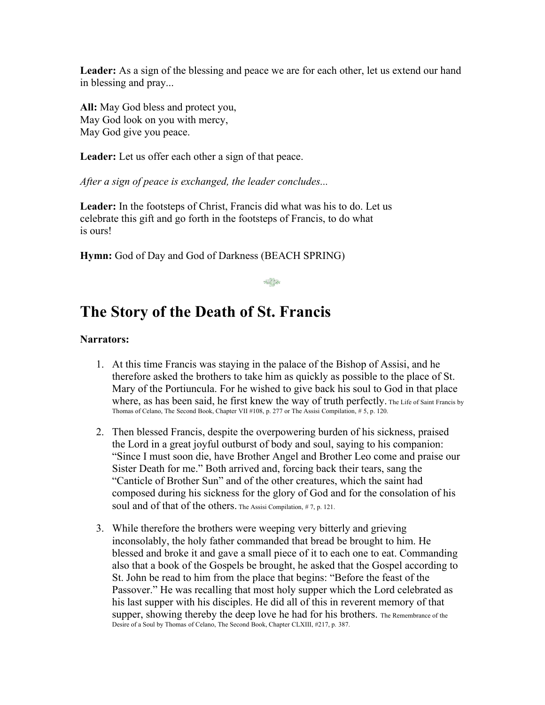Leader: As a sign of the blessing and peace we are for each other, let us extend our hand in blessing and pray...

All: May God bless and protect you, May God look on you with mercy, May God give you peace.

Leader: Let us offer each other a sign of that peace.

*After a sign of peace is exchanged, the leader concludes...*

Leader: In the footsteps of Christ, Francis did what was his to do. Let us celebrate this gift and go forth in the footsteps of Francis, to do what is ours!

Hymn: God of Day and God of Darkness (BEACH SPRING)

# $x \in \mathbb{R}^{n \times n}$

# The Story of the Death of St. Francis

#### Narrators:

- 1. At this time Francis was staying in the palace of the Bishop of Assisi, and he therefore asked the brothers to take him as quickly as possible to the place of St. Mary of the Portiuncula. For he wished to give back his soul to God in that place where, as has been said, he first knew the way of truth perfectly. The Life of Saint Francis by Thomas of Celano, The Second Book, Chapter VII #108, p. 277 or The Assisi Compilation, # 5, p. 120.
- 2. Then blessed Francis, despite the overpowering burden of his sickness, praised the Lord in a great joyful outburst of body and soul, saying to his companion: "Since I must soon die, have Brother Angel and Brother Leo come and praise our Sister Death for me." Both arrived and, forcing back their tears, sang the "Canticle of Brother Sun" and of the other creatures, which the saint had composed during his sickness for the glory of God and for the consolation of his soul and of that of the others. The Assisi Compilation, #7, p. 121.
- 3. While therefore the brothers were weeping very bitterly and grieving inconsolably, the holy father commanded that bread be brought to him. He blessed and broke it and gave a small piece of it to each one to eat. Commanding also that a book of the Gospels be brought, he asked that the Gospel according to St. John be read to him from the place that begins: "Before the feast of the Passover." He was recalling that most holy supper which the Lord celebrated as his last supper with his disciples. He did all of this in reverent memory of that supper, showing thereby the deep love he had for his brothers. The Remembrance of the Desire of a Soul by Thomas of Celano, The Second Book, Chapter CLXIII, #217, p. 387.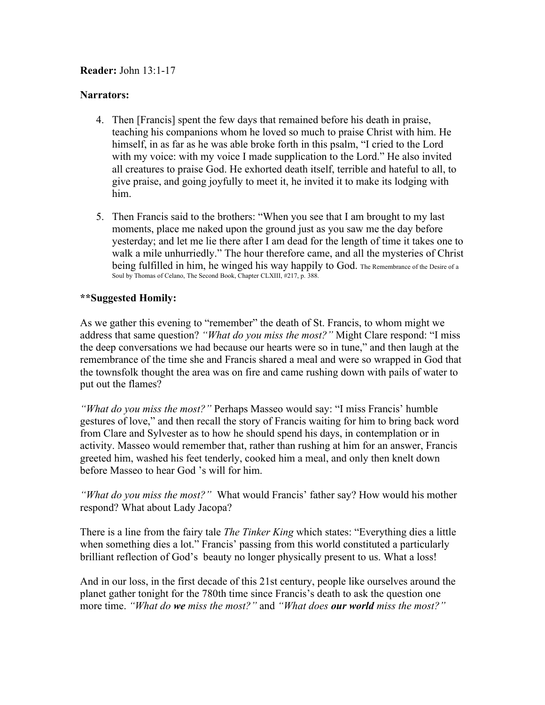### Reader: John 13:1-17

#### Narrators:

- 4. Then [Francis] spent the few days that remained before his death in praise, teaching his companions whom he loved so much to praise Christ with him. He himself, in as far as he was able broke forth in this psalm, "I cried to the Lord with my voice: with my voice I made supplication to the Lord." He also invited all creatures to praise God. He exhorted death itself, terrible and hateful to all, to give praise, and going joyfully to meet it, he invited it to make its lodging with him.
- 5. Then Francis said to the brothers: "When you see that I am brought to my last moments, place me naked upon the ground just as you saw me the day before yesterday; and let me lie there after I am dead for the length of time it takes one to walk a mile unhurriedly." The hour therefore came, and all the mysteries of Christ being fulfilled in him, he winged his way happily to God. The Remembrance of the Desire of a Soul by Thomas of Celano, The Second Book, Chapter CLXIII, #217, p. 388.

# \*\*Suggested Homily:

As we gather this evening to "remember" the death of St. Francis, to whom might we address that same question? *"What do you miss the most?"* Might Clare respond: "I miss the deep conversations we had because our hearts were so in tune," and then laugh at the remembrance of the time she and Francis shared a meal and were so wrapped in God that the townsfolk thought the area was on fire and came rushing down with pails of water to put out the flames?

*"What do you miss the most?"* Perhaps Masseo would say: "I miss Francis' humble gestures of love," and then recall the story of Francis waiting for him to bring back word from Clare and Sylvester as to how he should spend his days, in contemplation or in activity. Masseo would remember that, rather than rushing at him for an answer, Francis greeted him, washed his feet tenderly, cooked him a meal, and only then knelt down before Masseo to hear God 's will for him.

*"What do you miss the most?"* What would Francis' father say? How would his mother respond? What about Lady Jacopa?

There is a line from the fairy tale *The Tinker King* which states: "Everything dies a little when something dies a lot." Francis' passing from this world constituted a particularly brilliant reflection of God's beauty no longer physically present to us. What a loss!

And in our loss, in the first decade of this 21st century, people like ourselves around the planet gather tonight for the 780th time since Francis's death to ask the question one more time. *"What do we miss the most?"* and *"What does our world miss the most?"*